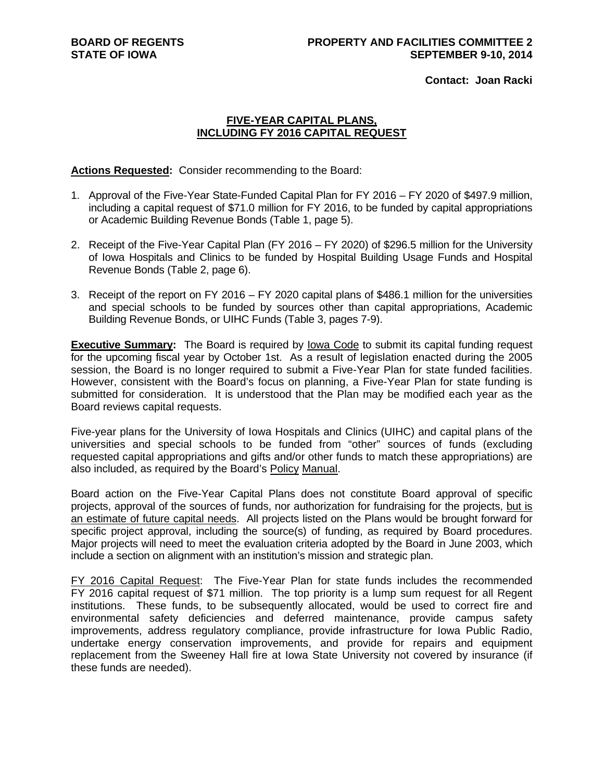**Contact: Joan Racki**

# **FIVE-YEAR CAPITAL PLANS, INCLUDING FY 2016 CAPITAL REQUEST**

**Actions Requested:** Consider recommending to the Board:

- 1. Approval of the Five-Year State-Funded Capital Plan for FY 2016 FY 2020 of \$497.9 million, including a capital request of \$71.0 million for FY 2016, to be funded by capital appropriations or Academic Building Revenue Bonds (Table 1, page 5).
- 2. Receipt of the Five-Year Capital Plan (FY 2016 FY 2020) of \$296.5 million for the University of Iowa Hospitals and Clinics to be funded by Hospital Building Usage Funds and Hospital Revenue Bonds (Table 2, page 6).
- 3. Receipt of the report on FY 2016 FY 2020 capital plans of \$486.1 million for the universities and special schools to be funded by sources other than capital appropriations, Academic Building Revenue Bonds, or UIHC Funds (Table 3, pages 7-9).

**Executive Summary:** The Board is required by lowa Code to submit its capital funding request for the upcoming fiscal year by October 1st. As a result of legislation enacted during the 2005 session, the Board is no longer required to submit a Five-Year Plan for state funded facilities. However, consistent with the Board's focus on planning, a Five-Year Plan for state funding is submitted for consideration. It is understood that the Plan may be modified each year as the Board reviews capital requests.

Five-year plans for the University of Iowa Hospitals and Clinics (UIHC) and capital plans of the universities and special schools to be funded from "other" sources of funds (excluding requested capital appropriations and gifts and/or other funds to match these appropriations) are also included, as required by the Board's Policy Manual.

Board action on the Five-Year Capital Plans does not constitute Board approval of specific projects, approval of the sources of funds, nor authorization for fundraising for the projects, but is an estimate of future capital needs. All projects listed on the Plans would be brought forward for specific project approval, including the source(s) of funding, as required by Board procedures. Major projects will need to meet the evaluation criteria adopted by the Board in June 2003, which include a section on alignment with an institution's mission and strategic plan.

FY 2016 Capital Request: The Five-Year Plan for state funds includes the recommended FY 2016 capital request of \$71 million. The top priority is a lump sum request for all Regent institutions. These funds, to be subsequently allocated, would be used to correct fire and environmental safety deficiencies and deferred maintenance, provide campus safety improvements, address regulatory compliance, provide infrastructure for Iowa Public Radio, undertake energy conservation improvements, and provide for repairs and equipment replacement from the Sweeney Hall fire at Iowa State University not covered by insurance (if these funds are needed).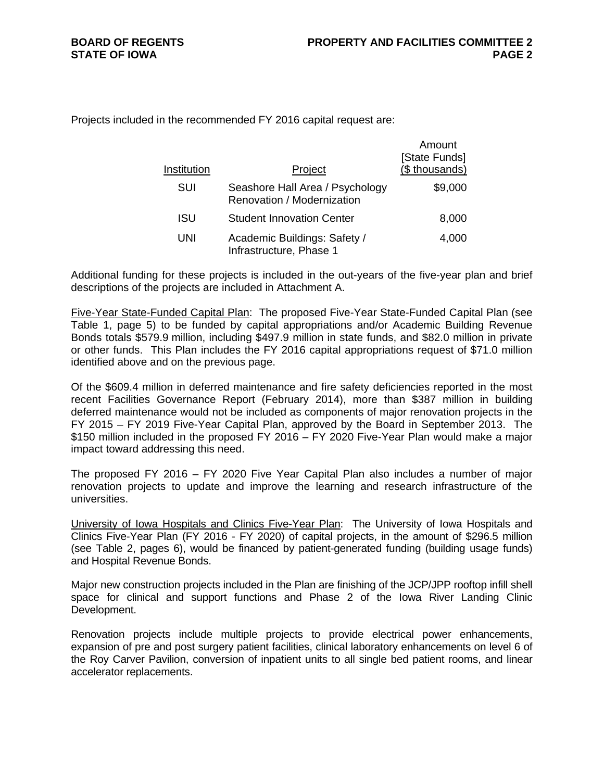Projects included in the recommended FY 2016 capital request are:

| Institution | Project                                                       | Amount<br>[State Funds]<br>(\$ thousands) |
|-------------|---------------------------------------------------------------|-------------------------------------------|
| SUI         | Seashore Hall Area / Psychology<br>Renovation / Modernization | \$9,000                                   |
| <b>ISU</b>  | <b>Student Innovation Center</b>                              | 8,000                                     |
| UNI         | Academic Buildings: Safety /<br>Infrastructure, Phase 1       | 4,000                                     |

Additional funding for these projects is included in the out-years of the five-year plan and brief descriptions of the projects are included in Attachment A.

Five-Year State-Funded Capital Plan: The proposed Five-Year State-Funded Capital Plan (see Table 1, page 5) to be funded by capital appropriations and/or Academic Building Revenue Bonds totals \$579.9 million, including \$497.9 million in state funds, and \$82.0 million in private or other funds. This Plan includes the FY 2016 capital appropriations request of \$71.0 million identified above and on the previous page.

Of the \$609.4 million in deferred maintenance and fire safety deficiencies reported in the most recent Facilities Governance Report (February 2014), more than \$387 million in building deferred maintenance would not be included as components of major renovation projects in the FY 2015 – FY 2019 Five-Year Capital Plan, approved by the Board in September 2013. The \$150 million included in the proposed FY 2016 – FY 2020 Five-Year Plan would make a major impact toward addressing this need.

The proposed FY 2016 – FY 2020 Five Year Capital Plan also includes a number of major renovation projects to update and improve the learning and research infrastructure of the universities.

University of Iowa Hospitals and Clinics Five-Year Plan: The University of Iowa Hospitals and Clinics Five-Year Plan (FY 2016 - FY 2020) of capital projects, in the amount of \$296.5 million (see Table 2, pages 6), would be financed by patient-generated funding (building usage funds) and Hospital Revenue Bonds.

Major new construction projects included in the Plan are finishing of the JCP/JPP rooftop infill shell space for clinical and support functions and Phase 2 of the Iowa River Landing Clinic Development.

Renovation projects include multiple projects to provide electrical power enhancements, expansion of pre and post surgery patient facilities, clinical laboratory enhancements on level 6 of the Roy Carver Pavilion, conversion of inpatient units to all single bed patient rooms, and linear accelerator replacements.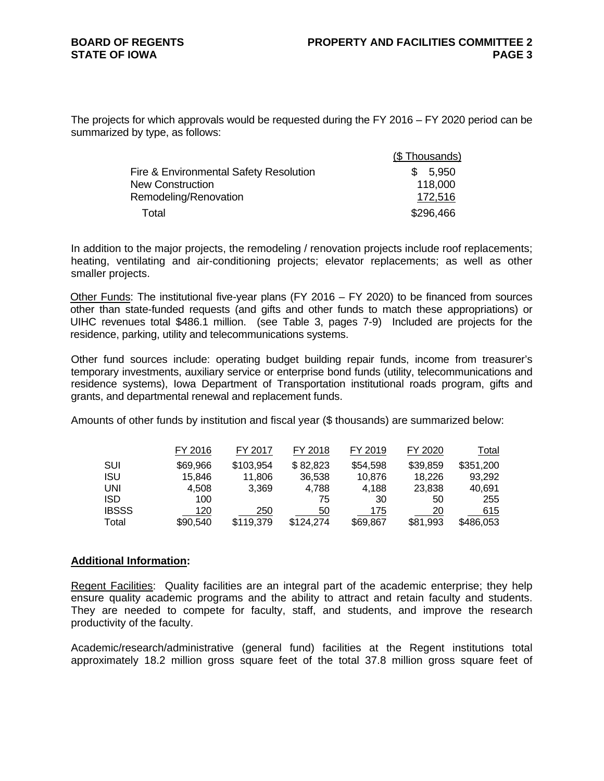### **BOARD OF REGENTS STATE OF IOWA**

The projects for which approvals would be requested during the FY 2016 – FY 2020 period can be summarized by type, as follows:

|                                        | (\$Thousands) |
|----------------------------------------|---------------|
| Fire & Environmental Safety Resolution | 5.950<br>SS.  |
| New Construction                       | 118,000       |
| Remodeling/Renovation                  | 172,516       |
| Total                                  | \$296,466     |

In addition to the major projects, the remodeling / renovation projects include roof replacements; heating, ventilating and air-conditioning projects; elevator replacements; as well as other smaller projects.

Other Funds: The institutional five-year plans (FY 2016 – FY 2020) to be financed from sources other than state-funded requests (and gifts and other funds to match these appropriations) or UIHC revenues total \$486.1 million. (see Table 3, pages 7-9) Included are projects for the residence, parking, utility and telecommunications systems.

Other fund sources include: operating budget building repair funds, income from treasurer's temporary investments, auxiliary service or enterprise bond funds (utility, telecommunications and residence systems), Iowa Department of Transportation institutional roads program, gifts and grants, and departmental renewal and replacement funds.

Amounts of other funds by institution and fiscal year (\$ thousands) are summarized below:

|              | FY 2016  | FY 2017   | FY 2018   | FY 2019  | FY 2020  | Total     |
|--------------|----------|-----------|-----------|----------|----------|-----------|
| SUI          | \$69,966 | \$103,954 | \$82,823  | \$54,598 | \$39,859 | \$351,200 |
| <b>ISU</b>   | 15.846   | 11,806    | 36,538    | 10,876   | 18.226   | 93.292    |
| UNI          | 4.508    | 3.369     | 4.788     | 4.188    | 23,838   | 40,691    |
| <b>ISD</b>   | 100      |           | 75        | 30       | 50       | 255       |
| <b>IBSSS</b> | 120      | 250       | 50        | 175      | 20       | 615       |
| Total        | \$90,540 | \$119,379 | \$124,274 | \$69,867 | \$81,993 | \$486,053 |

#### **Additional Information:**

Regent Facilities:Quality facilities are an integral part of the academic enterprise; they help ensure quality academic programs and the ability to attract and retain faculty and students. They are needed to compete for faculty, staff, and students, and improve the research productivity of the faculty.

Academic/research/administrative (general fund) facilities at the Regent institutions total approximately 18.2 million gross square feet of the total 37.8 million gross square feet of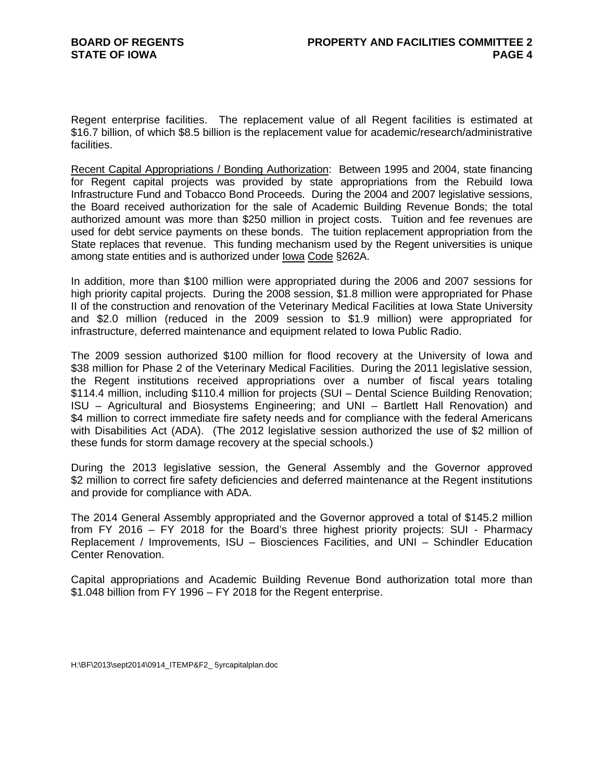Regent enterprise facilities. The replacement value of all Regent facilities is estimated at \$16.7 billion, of which \$8.5 billion is the replacement value for academic/research/administrative facilities.

Recent Capital Appropriations / Bonding Authorization: Between 1995 and 2004, state financing for Regent capital projects was provided by state appropriations from the Rebuild Iowa Infrastructure Fund and Tobacco Bond Proceeds. During the 2004 and 2007 legislative sessions, the Board received authorization for the sale of Academic Building Revenue Bonds; the total authorized amount was more than \$250 million in project costs. Tuition and fee revenues are used for debt service payments on these bonds. The tuition replacement appropriation from the State replaces that revenue. This funding mechanism used by the Regent universities is unique among state entities and is authorized under Iowa Code §262A.

In addition, more than \$100 million were appropriated during the 2006 and 2007 sessions for high priority capital projects. During the 2008 session, \$1.8 million were appropriated for Phase II of the construction and renovation of the Veterinary Medical Facilities at Iowa State University and \$2.0 million (reduced in the 2009 session to \$1.9 million) were appropriated for infrastructure, deferred maintenance and equipment related to Iowa Public Radio.

The 2009 session authorized \$100 million for flood recovery at the University of Iowa and \$38 million for Phase 2 of the Veterinary Medical Facilities. During the 2011 legislative session, the Regent institutions received appropriations over a number of fiscal years totaling \$114.4 million, including \$110.4 million for projects (SUI – Dental Science Building Renovation; ISU – Agricultural and Biosystems Engineering; and UNI – Bartlett Hall Renovation) and \$4 million to correct immediate fire safety needs and for compliance with the federal Americans with Disabilities Act (ADA). (The 2012 legislative session authorized the use of \$2 million of these funds for storm damage recovery at the special schools.)

During the 2013 legislative session, the General Assembly and the Governor approved \$2 million to correct fire safety deficiencies and deferred maintenance at the Regent institutions and provide for compliance with ADA.

The 2014 General Assembly appropriated and the Governor approved a total of \$145.2 million from FY 2016 – FY 2018 for the Board's three highest priority projects: SUI - Pharmacy Replacement / Improvements, ISU – Biosciences Facilities, and UNI – Schindler Education Center Renovation.

Capital appropriations and Academic Building Revenue Bond authorization total more than \$1.048 billion from FY 1996 – FY 2018 for the Regent enterprise.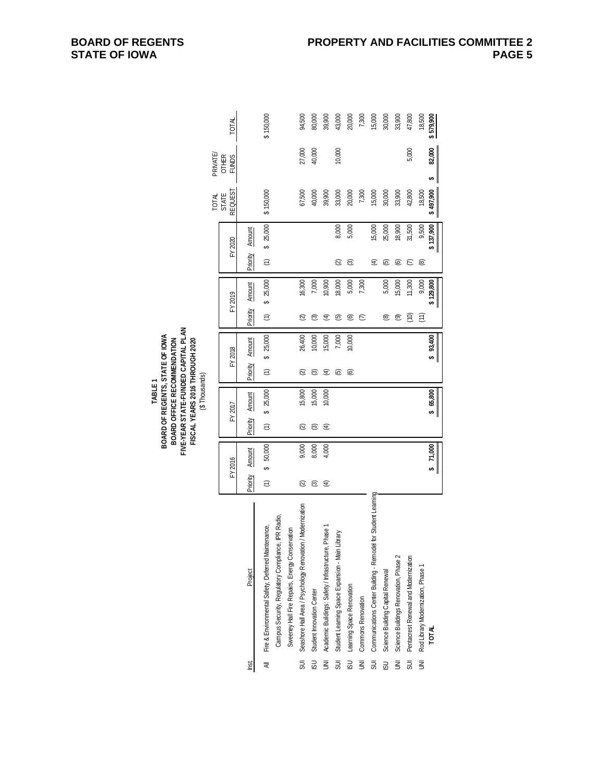|                         |                                                                |                      |             |                      |          |                |          |                      |               |                      |           | <b>TOTAL</b>            | PRIVATE                      |           |
|-------------------------|----------------------------------------------------------------|----------------------|-------------|----------------------|----------|----------------|----------|----------------------|---------------|----------------------|-----------|-------------------------|------------------------------|-----------|
|                         |                                                                |                      | FY 2016     |                      | FY 2017  |                | FY 2018  |                      | FY 2019       |                      | FY 2020   | <b>REQUEST</b><br>STATE | <b>OTHER</b><br><b>FUNDS</b> | TOTAL     |
| lnst.                   | Project                                                        | Priority             | Amount      | Priority             | Amount   | Priority       | Amount   | Priority             | <b>Amount</b> | Priority             | Amount    |                         |                              |           |
|                         |                                                                |                      |             |                      |          |                |          |                      |               |                      |           |                         |                              |           |
| ₹                       | Fire & Environmental Safety, Deferred Maintenance,             | $\widehat{\epsilon}$ | 50,000<br>↔ | $\widehat{\epsilon}$ | \$25,000 | $\widehat{z}$  | \$25,000 | $\widehat{\epsilon}$ | \$25,000      | $\widehat{\epsilon}$ | \$25,000  | \$150,000               |                              | \$150,000 |
|                         | Campus Security, Regulatory Compliance, IPR Radio,             |                      |             |                      |          |                |          |                      |               |                      |           |                         |                              |           |
|                         | Sweeney Hall Fire Repairs, Energy Conservation                 |                      |             |                      |          |                |          |                      |               |                      |           |                         |                              |           |
|                         | SUI Seashore Hall Area / Psychology Renovation / Modernization | ହ                    | 9,000       | ହ                    | 15,800   | $\overline{c}$ | 26,400   | ହ                    | 16,300        |                      |           | 67,500                  | 27,000                       | 94,500    |
| $\overline{\mathbf{5}}$ | Student Innovation Center                                      | ල                    | 8,000       | ල                    | 15,000   | ල              | 10,000   | ఠె                   | 7,000         |                      |           | 40,000                  | 40,000                       | 80,000    |
| z                       | Academic Buildings: Safety / Infrastructure, Phase 1           | €                    | 4,000       | €                    | 10,000   | E              | 15,000   | E                    | 10,900        |                      |           | 39,900                  |                              | 39,900    |
| 5U                      | Student Learning Space Expansion - Main Library                |                      |             |                      |          | ම              | 7,000    | ල                    | 18,000        | Q                    | 8,000     | 33,000                  | 10,000                       | 43,000    |
| $\overline{5}$          | Learning Space Renovation                                      |                      |             |                      |          | ම              | 10,000   | ම                    | 5,000         | ල                    | 5,000     | 20,000                  |                              | 20,000    |
| $\overline{\mathbf{5}}$ | <b>Commons Renovation</b>                                      |                      |             |                      |          |                |          | ε                    | 7,300         |                      |           | 7,300                   |                              | 7,300     |
| 5U                      | Communications Center Building - Remodel for Student Learning  |                      |             |                      |          |                |          |                      |               | €                    | 15,000    | 15,000                  |                              | 15,000    |
| $\overline{\omega}$     | Science Building Capital Renewal                               |                      |             |                      |          |                |          | ම                    | 5,000         | ගි                   | 25,000    | 30,000                  |                              | 30,000    |
| ξ                       | Science Buildings Renovation, Phase 2                          |                      |             |                      |          |                |          | ම                    | 15,000        | ම                    | 18,900    | 33,900                  |                              | 33,900    |
| 50                      | Pentacrest Renewal and Modernization                           |                      |             |                      |          |                |          | (10)                 | 11,300        | ε                    | 31,500    | 42,800                  | 5,000                        | 47,800    |
|                         | UNI Rod Library Modernization, Phase 1                         |                      |             |                      |          |                |          | (11)                 | 9,000         | @                    | 9,500     | 18,500                  |                              | 18,500    |
|                         | <b>TOTAL</b>                                                   |                      | 27,000      |                      | \$65,800 |                | \$93,400 |                      | \$129,800     |                      | \$137,900 | \$497,900               | 82,000<br>↮                  | 579,900   |
|                         |                                                                |                      |             |                      |          |                |          |                      |               |                      |           |                         |                              |           |

**BOARD OF REGENTS, STATE OF IOWA FIVE-YEAR STATE-FUNDED CAPITAL PLAN FISCAL YEARS 2016 THROUGH 2020** (\$ Thousands) TABLE 1<br>BOARD OF REGENTS, STATE OF IOWA<br>BOARD OFFICE RECOMMENDATION<br>FIVE-YEAR STATE-FUNDED CAPITAL PLAN<br>FISCAL YEARS 2016 THROUGH 2020<br>(\$ Thousands) **BOARD OFFICE RECOMMENDATION**

**BOARD OF REGENTS STATE OF IOWA**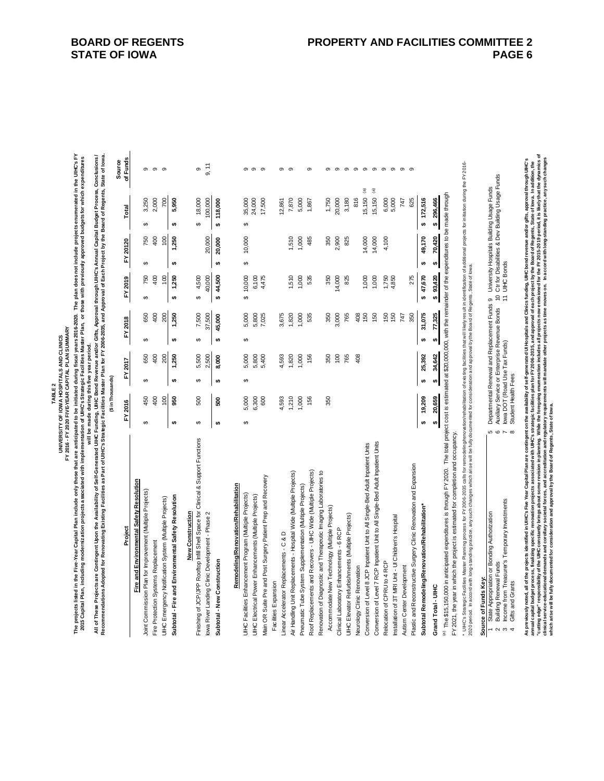**The projects listed in the Five-Year Capital Plan include only those that are anticipated to be initiated during fiscal years 2016-2020. The plan does not include projects enumerated in the UIHC's FY**  UNIVERSITY OF IOWA HOSPITALS AND CLINICS<br>FY 2016 - FY 2020 FIVE-YEAR CAPITAL PLAN SUMMARY **FY 2016 - FY 2020 FIVE-YEAR CAPITAL PLAN SUMMARY**

**TABLE 2**

**UNIVERSITY OF IOWA HOSPITALS AND CLINICS**

The projects listed in the Five-Year Capital Plan include only those that are anticipate to be initiated during fiscal years 2016-2020. The plan does not include projects enumerated in the UHC's FY<br>2015 Capital Plan, inclu **2015 Capital Plan, including modernization projects associated with implementation of UIHC's Strategic Facilities Master Plan, or those with previously approved budgets for which expenditures will be made during this five year period.**

**All of These Projects are Contingent Upon the Availability of Self-Generated UIHC Funding, UIHC Bond Revenue and/or Gifts, Approval through UIHC's Annual Capital Budget Process, Conclusions / Recommendations Adopted for Renovating Existing Facilities as Part of UIHC's Strategic Facilities Master Plan for FY 2006-2035, and Approval of Each Project by the Board of Regents, State of Iowa.**

| of Funds<br>Source<br>9, 11<br>တ<br>$\infty$<br>$\circ$<br>- ത<br>$\sigma$<br>თთ<br>- ന<br>$\sigma$<br>$\circ$<br>$\sigma$<br>$\sigma$<br>$\sigma$<br>$\infty$<br>$\sigma$<br>$\sigma$<br>$\sigma$<br>$\sigma$<br>$\sigma$<br>$\sigma$<br>$\widehat{\mathbf{a}}$<br>®<br>816<br>15,150<br>172,516<br>296,466<br>5,950<br>15,150<br>625<br>2,000<br>700<br>18,000<br>100,000<br>17,500<br>3,180<br>6,000<br>3,250<br>118,000<br>35,000<br>24,000<br>7,870<br>5,000<br>1,750<br>20,000<br>5,000<br>747<br>1,867<br>12,861<br>Total<br>÷<br>÷<br>÷<br>↮<br>မာ<br>↔<br>th,<br>49,170<br>70,420<br>400<br>100<br>20,000<br>750<br>1,250<br>10,000<br>1,510<br>2,900<br>20,000<br>1,000<br>485<br>350<br>825<br>14,000<br>14,000<br>4,100<br>FY 20120<br>÷<br>↮<br>th<br>↮<br>₩<br>₩<br>44,500<br>275<br>\$47,670<br>93,420<br>100<br>1,250<br>4,500<br>40,000<br>1,510<br>750<br>400<br>10,000<br>1,000<br>535<br>350<br>14,000<br>825<br>FY 2019<br>6,100<br>4,475<br>1,000<br>1,000<br>1,750<br>4,850<br>$\theta$<br>÷,<br>s,<br>ക<br>မာ<br>မာ<br>31,075<br>77,325<br>7,500<br>37,500<br>765<br>408<br>150<br>150<br>200<br>1,250<br>3,675<br>535<br>3,000<br>150<br>150<br>747<br>350<br>650<br>400<br>45,000<br>5,000<br>5,800<br>7,025<br>1,820<br>1,000<br>350<br>FY 2018<br>₩<br><b>SA</b><br>↮<br>s,<br>↮<br>H)<br>↮<br>34,642<br>5,500<br>25,392<br>200<br>2,500<br>765<br>408<br>650<br>400<br>1,250<br>8,000<br>5,000<br>5,800<br>1,000<br>156<br>350<br>100<br>5,400<br>4,593<br>1,820<br>FY 2017<br>s,<br>tĄ<br>↮<br>₩<br>မာ<br>မာ<br>မာ<br>20,659<br>100<br>19,209<br>400<br>950<br>500<br>600<br>1,210<br>156<br>350<br>450<br>500<br>5,000<br>6,300<br>1,593<br>1,000<br>FY 2016<br>$\bullet$<br>↮<br>th,<br>₩<br>↔<br>₩<br>↔<br>Finishing of JCP/JPP Rooftop Infill Shell Space for Clinical & Support Functions<br>Conversion of Level 7 RCP Inpatient Unit to All Single-Bed Adult Inpatient Units<br>Conversion of Level 8 JCP Inpatient Unit to All Single-Bed Adult Inpatient Units<br>Plastic and Reconstructive Surgery Clinic Renovation and Expansion<br>Roof Replacements and Recovers - UIHC Wide (Multiple Projects)<br>Renovation of Diagnostic and Therapeutic Imaging Laboratories to<br>Air Handling Unit Replacements - Hospital Wide (Multiple Projects)<br>Main OR Suite Pre and Post Surgery Patient Prep and Recovery<br>Fire and Environmental Safety Resolution<br>Remodeling/Renovation/Rehabilitation<br>Pneumatic Tube System Supplementation (Multiple Projects)<br>Joint Commission Plan for Improvement (Multiple Projects)<br>UIHC Facilities Enhancement Program (Multiple Projects)<br>UIHC Electrical Power Enhancements (Multiple Projects)<br>Subtotal - Fire and Environmental Safety Resolution<br>UIHC Emergency Notification System (Multiple Projects)<br>Subtotal Remodeling/Renovation/Rehabilitation*<br>Accommodate New Technology (Multiple Projects)<br>lowa River Landing Clinic Development - Phase 2<br>New Construction<br>UIHC Elevator Refurbishments (Multiple Projects)<br>Installation of 3T MRI Unit - UI Children's Hospital<br>Project<br>Clinical Laboratory Enhancements - 6 RCP<br>Linear Accelerator Replacements - C & D<br>Fire Protection Systems Replacement<br>Subtotal - New Construction<br>Relocation of CPRU to 4 RCP<br>Autism Center Development<br>Neurology Clinic Renovation<br>Facilities Expansion<br>Grand Total - UIHC |  |  |  |  |  |  |
|--------------------------------------------------------------------------------------------------------------------------------------------------------------------------------------------------------------------------------------------------------------------------------------------------------------------------------------------------------------------------------------------------------------------------------------------------------------------------------------------------------------------------------------------------------------------------------------------------------------------------------------------------------------------------------------------------------------------------------------------------------------------------------------------------------------------------------------------------------------------------------------------------------------------------------------------------------------------------------------------------------------------------------------------------------------------------------------------------------------------------------------------------------------------------------------------------------------------------------------------------------------------------------------------------------------------------------------------------------------------------------------------------------------------------------------------------------------------------------------------------------------------------------------------------------------------------------------------------------------------------------------------------------------------------------------------------------------------------------------------------------------------------------------------------------------------------------------------------------------------------------------------------------------------------------------------------------------------------------------------------------------------------------------------------------------------------------------------------------------------------------------------------------------------------------------------------------------------------------------------------------------------------------------------------------------------------------------------------------------------------------------------------------------------------------------------------------------------------------------------------------------------------------------------------------------------------------------------------------------------------------------------------------------------------------------------------------------------------------------------------------------------------------------------------------------------------------------------------------------------------------------------------------------------------------------------------------------------------------------------------------------------------------------------------------------------------------------------------------------------------------------------------------------------------------------------------------------------------------------------------------------------------------------------------------------------------------------------------------------------------------------------------------------------|--|--|--|--|--|--|
|                                                                                                                                                                                                                                                                                                                                                                                                                                                                                                                                                                                                                                                                                                                                                                                                                                                                                                                                                                                                                                                                                                                                                                                                                                                                                                                                                                                                                                                                                                                                                                                                                                                                                                                                                                                                                                                                                                                                                                                                                                                                                                                                                                                                                                                                                                                                                                                                                                                                                                                                                                                                                                                                                                                                                                                                                                                                                                                                                                                                                                                                                                                                                                                                                                                                                                                                                                                                                    |  |  |  |  |  |  |
|                                                                                                                                                                                                                                                                                                                                                                                                                                                                                                                                                                                                                                                                                                                                                                                                                                                                                                                                                                                                                                                                                                                                                                                                                                                                                                                                                                                                                                                                                                                                                                                                                                                                                                                                                                                                                                                                                                                                                                                                                                                                                                                                                                                                                                                                                                                                                                                                                                                                                                                                                                                                                                                                                                                                                                                                                                                                                                                                                                                                                                                                                                                                                                                                                                                                                                                                                                                                                    |  |  |  |  |  |  |
|                                                                                                                                                                                                                                                                                                                                                                                                                                                                                                                                                                                                                                                                                                                                                                                                                                                                                                                                                                                                                                                                                                                                                                                                                                                                                                                                                                                                                                                                                                                                                                                                                                                                                                                                                                                                                                                                                                                                                                                                                                                                                                                                                                                                                                                                                                                                                                                                                                                                                                                                                                                                                                                                                                                                                                                                                                                                                                                                                                                                                                                                                                                                                                                                                                                                                                                                                                                                                    |  |  |  |  |  |  |
|                                                                                                                                                                                                                                                                                                                                                                                                                                                                                                                                                                                                                                                                                                                                                                                                                                                                                                                                                                                                                                                                                                                                                                                                                                                                                                                                                                                                                                                                                                                                                                                                                                                                                                                                                                                                                                                                                                                                                                                                                                                                                                                                                                                                                                                                                                                                                                                                                                                                                                                                                                                                                                                                                                                                                                                                                                                                                                                                                                                                                                                                                                                                                                                                                                                                                                                                                                                                                    |  |  |  |  |  |  |
|                                                                                                                                                                                                                                                                                                                                                                                                                                                                                                                                                                                                                                                                                                                                                                                                                                                                                                                                                                                                                                                                                                                                                                                                                                                                                                                                                                                                                                                                                                                                                                                                                                                                                                                                                                                                                                                                                                                                                                                                                                                                                                                                                                                                                                                                                                                                                                                                                                                                                                                                                                                                                                                                                                                                                                                                                                                                                                                                                                                                                                                                                                                                                                                                                                                                                                                                                                                                                    |  |  |  |  |  |  |
|                                                                                                                                                                                                                                                                                                                                                                                                                                                                                                                                                                                                                                                                                                                                                                                                                                                                                                                                                                                                                                                                                                                                                                                                                                                                                                                                                                                                                                                                                                                                                                                                                                                                                                                                                                                                                                                                                                                                                                                                                                                                                                                                                                                                                                                                                                                                                                                                                                                                                                                                                                                                                                                                                                                                                                                                                                                                                                                                                                                                                                                                                                                                                                                                                                                                                                                                                                                                                    |  |  |  |  |  |  |
|                                                                                                                                                                                                                                                                                                                                                                                                                                                                                                                                                                                                                                                                                                                                                                                                                                                                                                                                                                                                                                                                                                                                                                                                                                                                                                                                                                                                                                                                                                                                                                                                                                                                                                                                                                                                                                                                                                                                                                                                                                                                                                                                                                                                                                                                                                                                                                                                                                                                                                                                                                                                                                                                                                                                                                                                                                                                                                                                                                                                                                                                                                                                                                                                                                                                                                                                                                                                                    |  |  |  |  |  |  |
|                                                                                                                                                                                                                                                                                                                                                                                                                                                                                                                                                                                                                                                                                                                                                                                                                                                                                                                                                                                                                                                                                                                                                                                                                                                                                                                                                                                                                                                                                                                                                                                                                                                                                                                                                                                                                                                                                                                                                                                                                                                                                                                                                                                                                                                                                                                                                                                                                                                                                                                                                                                                                                                                                                                                                                                                                                                                                                                                                                                                                                                                                                                                                                                                                                                                                                                                                                                                                    |  |  |  |  |  |  |
|                                                                                                                                                                                                                                                                                                                                                                                                                                                                                                                                                                                                                                                                                                                                                                                                                                                                                                                                                                                                                                                                                                                                                                                                                                                                                                                                                                                                                                                                                                                                                                                                                                                                                                                                                                                                                                                                                                                                                                                                                                                                                                                                                                                                                                                                                                                                                                                                                                                                                                                                                                                                                                                                                                                                                                                                                                                                                                                                                                                                                                                                                                                                                                                                                                                                                                                                                                                                                    |  |  |  |  |  |  |
|                                                                                                                                                                                                                                                                                                                                                                                                                                                                                                                                                                                                                                                                                                                                                                                                                                                                                                                                                                                                                                                                                                                                                                                                                                                                                                                                                                                                                                                                                                                                                                                                                                                                                                                                                                                                                                                                                                                                                                                                                                                                                                                                                                                                                                                                                                                                                                                                                                                                                                                                                                                                                                                                                                                                                                                                                                                                                                                                                                                                                                                                                                                                                                                                                                                                                                                                                                                                                    |  |  |  |  |  |  |
|                                                                                                                                                                                                                                                                                                                                                                                                                                                                                                                                                                                                                                                                                                                                                                                                                                                                                                                                                                                                                                                                                                                                                                                                                                                                                                                                                                                                                                                                                                                                                                                                                                                                                                                                                                                                                                                                                                                                                                                                                                                                                                                                                                                                                                                                                                                                                                                                                                                                                                                                                                                                                                                                                                                                                                                                                                                                                                                                                                                                                                                                                                                                                                                                                                                                                                                                                                                                                    |  |  |  |  |  |  |
|                                                                                                                                                                                                                                                                                                                                                                                                                                                                                                                                                                                                                                                                                                                                                                                                                                                                                                                                                                                                                                                                                                                                                                                                                                                                                                                                                                                                                                                                                                                                                                                                                                                                                                                                                                                                                                                                                                                                                                                                                                                                                                                                                                                                                                                                                                                                                                                                                                                                                                                                                                                                                                                                                                                                                                                                                                                                                                                                                                                                                                                                                                                                                                                                                                                                                                                                                                                                                    |  |  |  |  |  |  |
|                                                                                                                                                                                                                                                                                                                                                                                                                                                                                                                                                                                                                                                                                                                                                                                                                                                                                                                                                                                                                                                                                                                                                                                                                                                                                                                                                                                                                                                                                                                                                                                                                                                                                                                                                                                                                                                                                                                                                                                                                                                                                                                                                                                                                                                                                                                                                                                                                                                                                                                                                                                                                                                                                                                                                                                                                                                                                                                                                                                                                                                                                                                                                                                                                                                                                                                                                                                                                    |  |  |  |  |  |  |
|                                                                                                                                                                                                                                                                                                                                                                                                                                                                                                                                                                                                                                                                                                                                                                                                                                                                                                                                                                                                                                                                                                                                                                                                                                                                                                                                                                                                                                                                                                                                                                                                                                                                                                                                                                                                                                                                                                                                                                                                                                                                                                                                                                                                                                                                                                                                                                                                                                                                                                                                                                                                                                                                                                                                                                                                                                                                                                                                                                                                                                                                                                                                                                                                                                                                                                                                                                                                                    |  |  |  |  |  |  |
|                                                                                                                                                                                                                                                                                                                                                                                                                                                                                                                                                                                                                                                                                                                                                                                                                                                                                                                                                                                                                                                                                                                                                                                                                                                                                                                                                                                                                                                                                                                                                                                                                                                                                                                                                                                                                                                                                                                                                                                                                                                                                                                                                                                                                                                                                                                                                                                                                                                                                                                                                                                                                                                                                                                                                                                                                                                                                                                                                                                                                                                                                                                                                                                                                                                                                                                                                                                                                    |  |  |  |  |  |  |
|                                                                                                                                                                                                                                                                                                                                                                                                                                                                                                                                                                                                                                                                                                                                                                                                                                                                                                                                                                                                                                                                                                                                                                                                                                                                                                                                                                                                                                                                                                                                                                                                                                                                                                                                                                                                                                                                                                                                                                                                                                                                                                                                                                                                                                                                                                                                                                                                                                                                                                                                                                                                                                                                                                                                                                                                                                                                                                                                                                                                                                                                                                                                                                                                                                                                                                                                                                                                                    |  |  |  |  |  |  |
|                                                                                                                                                                                                                                                                                                                                                                                                                                                                                                                                                                                                                                                                                                                                                                                                                                                                                                                                                                                                                                                                                                                                                                                                                                                                                                                                                                                                                                                                                                                                                                                                                                                                                                                                                                                                                                                                                                                                                                                                                                                                                                                                                                                                                                                                                                                                                                                                                                                                                                                                                                                                                                                                                                                                                                                                                                                                                                                                                                                                                                                                                                                                                                                                                                                                                                                                                                                                                    |  |  |  |  |  |  |
|                                                                                                                                                                                                                                                                                                                                                                                                                                                                                                                                                                                                                                                                                                                                                                                                                                                                                                                                                                                                                                                                                                                                                                                                                                                                                                                                                                                                                                                                                                                                                                                                                                                                                                                                                                                                                                                                                                                                                                                                                                                                                                                                                                                                                                                                                                                                                                                                                                                                                                                                                                                                                                                                                                                                                                                                                                                                                                                                                                                                                                                                                                                                                                                                                                                                                                                                                                                                                    |  |  |  |  |  |  |
|                                                                                                                                                                                                                                                                                                                                                                                                                                                                                                                                                                                                                                                                                                                                                                                                                                                                                                                                                                                                                                                                                                                                                                                                                                                                                                                                                                                                                                                                                                                                                                                                                                                                                                                                                                                                                                                                                                                                                                                                                                                                                                                                                                                                                                                                                                                                                                                                                                                                                                                                                                                                                                                                                                                                                                                                                                                                                                                                                                                                                                                                                                                                                                                                                                                                                                                                                                                                                    |  |  |  |  |  |  |
|                                                                                                                                                                                                                                                                                                                                                                                                                                                                                                                                                                                                                                                                                                                                                                                                                                                                                                                                                                                                                                                                                                                                                                                                                                                                                                                                                                                                                                                                                                                                                                                                                                                                                                                                                                                                                                                                                                                                                                                                                                                                                                                                                                                                                                                                                                                                                                                                                                                                                                                                                                                                                                                                                                                                                                                                                                                                                                                                                                                                                                                                                                                                                                                                                                                                                                                                                                                                                    |  |  |  |  |  |  |
|                                                                                                                                                                                                                                                                                                                                                                                                                                                                                                                                                                                                                                                                                                                                                                                                                                                                                                                                                                                                                                                                                                                                                                                                                                                                                                                                                                                                                                                                                                                                                                                                                                                                                                                                                                                                                                                                                                                                                                                                                                                                                                                                                                                                                                                                                                                                                                                                                                                                                                                                                                                                                                                                                                                                                                                                                                                                                                                                                                                                                                                                                                                                                                                                                                                                                                                                                                                                                    |  |  |  |  |  |  |
|                                                                                                                                                                                                                                                                                                                                                                                                                                                                                                                                                                                                                                                                                                                                                                                                                                                                                                                                                                                                                                                                                                                                                                                                                                                                                                                                                                                                                                                                                                                                                                                                                                                                                                                                                                                                                                                                                                                                                                                                                                                                                                                                                                                                                                                                                                                                                                                                                                                                                                                                                                                                                                                                                                                                                                                                                                                                                                                                                                                                                                                                                                                                                                                                                                                                                                                                                                                                                    |  |  |  |  |  |  |
|                                                                                                                                                                                                                                                                                                                                                                                                                                                                                                                                                                                                                                                                                                                                                                                                                                                                                                                                                                                                                                                                                                                                                                                                                                                                                                                                                                                                                                                                                                                                                                                                                                                                                                                                                                                                                                                                                                                                                                                                                                                                                                                                                                                                                                                                                                                                                                                                                                                                                                                                                                                                                                                                                                                                                                                                                                                                                                                                                                                                                                                                                                                                                                                                                                                                                                                                                                                                                    |  |  |  |  |  |  |
|                                                                                                                                                                                                                                                                                                                                                                                                                                                                                                                                                                                                                                                                                                                                                                                                                                                                                                                                                                                                                                                                                                                                                                                                                                                                                                                                                                                                                                                                                                                                                                                                                                                                                                                                                                                                                                                                                                                                                                                                                                                                                                                                                                                                                                                                                                                                                                                                                                                                                                                                                                                                                                                                                                                                                                                                                                                                                                                                                                                                                                                                                                                                                                                                                                                                                                                                                                                                                    |  |  |  |  |  |  |
|                                                                                                                                                                                                                                                                                                                                                                                                                                                                                                                                                                                                                                                                                                                                                                                                                                                                                                                                                                                                                                                                                                                                                                                                                                                                                                                                                                                                                                                                                                                                                                                                                                                                                                                                                                                                                                                                                                                                                                                                                                                                                                                                                                                                                                                                                                                                                                                                                                                                                                                                                                                                                                                                                                                                                                                                                                                                                                                                                                                                                                                                                                                                                                                                                                                                                                                                                                                                                    |  |  |  |  |  |  |
|                                                                                                                                                                                                                                                                                                                                                                                                                                                                                                                                                                                                                                                                                                                                                                                                                                                                                                                                                                                                                                                                                                                                                                                                                                                                                                                                                                                                                                                                                                                                                                                                                                                                                                                                                                                                                                                                                                                                                                                                                                                                                                                                                                                                                                                                                                                                                                                                                                                                                                                                                                                                                                                                                                                                                                                                                                                                                                                                                                                                                                                                                                                                                                                                                                                                                                                                                                                                                    |  |  |  |  |  |  |
|                                                                                                                                                                                                                                                                                                                                                                                                                                                                                                                                                                                                                                                                                                                                                                                                                                                                                                                                                                                                                                                                                                                                                                                                                                                                                                                                                                                                                                                                                                                                                                                                                                                                                                                                                                                                                                                                                                                                                                                                                                                                                                                                                                                                                                                                                                                                                                                                                                                                                                                                                                                                                                                                                                                                                                                                                                                                                                                                                                                                                                                                                                                                                                                                                                                                                                                                                                                                                    |  |  |  |  |  |  |
|                                                                                                                                                                                                                                                                                                                                                                                                                                                                                                                                                                                                                                                                                                                                                                                                                                                                                                                                                                                                                                                                                                                                                                                                                                                                                                                                                                                                                                                                                                                                                                                                                                                                                                                                                                                                                                                                                                                                                                                                                                                                                                                                                                                                                                                                                                                                                                                                                                                                                                                                                                                                                                                                                                                                                                                                                                                                                                                                                                                                                                                                                                                                                                                                                                                                                                                                                                                                                    |  |  |  |  |  |  |
|                                                                                                                                                                                                                                                                                                                                                                                                                                                                                                                                                                                                                                                                                                                                                                                                                                                                                                                                                                                                                                                                                                                                                                                                                                                                                                                                                                                                                                                                                                                                                                                                                                                                                                                                                                                                                                                                                                                                                                                                                                                                                                                                                                                                                                                                                                                                                                                                                                                                                                                                                                                                                                                                                                                                                                                                                                                                                                                                                                                                                                                                                                                                                                                                                                                                                                                                                                                                                    |  |  |  |  |  |  |
|                                                                                                                                                                                                                                                                                                                                                                                                                                                                                                                                                                                                                                                                                                                                                                                                                                                                                                                                                                                                                                                                                                                                                                                                                                                                                                                                                                                                                                                                                                                                                                                                                                                                                                                                                                                                                                                                                                                                                                                                                                                                                                                                                                                                                                                                                                                                                                                                                                                                                                                                                                                                                                                                                                                                                                                                                                                                                                                                                                                                                                                                                                                                                                                                                                                                                                                                                                                                                    |  |  |  |  |  |  |
|                                                                                                                                                                                                                                                                                                                                                                                                                                                                                                                                                                                                                                                                                                                                                                                                                                                                                                                                                                                                                                                                                                                                                                                                                                                                                                                                                                                                                                                                                                                                                                                                                                                                                                                                                                                                                                                                                                                                                                                                                                                                                                                                                                                                                                                                                                                                                                                                                                                                                                                                                                                                                                                                                                                                                                                                                                                                                                                                                                                                                                                                                                                                                                                                                                                                                                                                                                                                                    |  |  |  |  |  |  |
|                                                                                                                                                                                                                                                                                                                                                                                                                                                                                                                                                                                                                                                                                                                                                                                                                                                                                                                                                                                                                                                                                                                                                                                                                                                                                                                                                                                                                                                                                                                                                                                                                                                                                                                                                                                                                                                                                                                                                                                                                                                                                                                                                                                                                                                                                                                                                                                                                                                                                                                                                                                                                                                                                                                                                                                                                                                                                                                                                                                                                                                                                                                                                                                                                                                                                                                                                                                                                    |  |  |  |  |  |  |

FY 2021, the year in which the project is estimated for completion and occupancy. FY 2021, the year in which the project is estimated for completion and occupancy.

\* UHC's Strategic Facilites Master Planning process tor FY2006-2035 calls for renodeling/tenoxation/tenablitation fosting facilities hat will likely result in identification of additional projects for initiation during th \* UHC's Strategic Facilities Master Planning process for FY 2005-2005-2006-2016 scalls for remodeling/tenovation/dehabilities that will hikely result in identification of additional projects for initiation during the FY 20 2020 period. In accord with long-standing practice, any such changes which arise will be fully documented for consideration and approval by the Board of Regents, State of Iowa.

1 State Appropriation or Bonding Authorization 5 Departmental Renewal and Replacement Funds 9 University Hospitals Building Usage Funds Source of Funds Key:<br>1 State Appropriation or Bonding Authorization **Source of Funds Key:**

| 2 Building Renewal                                      | 6 Auxiliary Service or Enterprise Revenue Bonds 10 Ctr for Disab |              |
|---------------------------------------------------------|------------------------------------------------------------------|--------------|
| nvestments<br>'s Temporary<br>3 Income from Treasurer's | 7 lowa DOT (Road Use Tax Funds)<br>. von Juli (Kudu              | 11 UHC Bonds |
| 4 Gifts and Gran                                        | 8 Student Health Fees                                            |              |

Departmental Renewal and Replacement Funds 9 University Hospitals Building Usage Funds<br>Auxiliary Service or Enterprise Revenue Bonds 10 Ctr for Disabilities & Dev Building Usage Funds<br>Iowa DOT (Road Use Tax Funds) 2 Building Renewal Funds 6 Auxiliary Service or Enterprise Revenue Bonds 10 Ctr for Disabilities & Dev Building Usage Funds

Student Health Fees  $\omega \circ \sim \infty$  As previously noted, all of the projects identified in UHC's Five Year Capital Plan are contingent on the availability of self-generated UI Hospitals and Clinics funding. UHC bond orema and/or gifts, approval through UIHC' cutting edge" responsibility of the UIHC constantly brings about some revision in planning. While the fore going enumeration includes all projects now envisioned for the FY 2015-2019 period, it is likely that the dynamics **clinical service-educational demands and corollary societal forces, and accreditation and regulatory requirements will mandate other projects as time moves on. In accord with long-standing practice, any such changes**  As previously noted, all of the projects identified in UIHC's Five Year Capital Plan are contingent on the availability of self-generated UI Hospitals and Clinics funding. UIHC bond revenue and/or gifts, approval through C annual capital budget process, finalizing specific renovation projects associated with UHC's strategic facilities plan for FF 2006-2035, and approval of each project by the Board of Regents, State of lowa. In addition, the **which arise will be fully documented for consideration and approval by the Board of Regents, State of Iowa.** 

 $\mathbf{I}$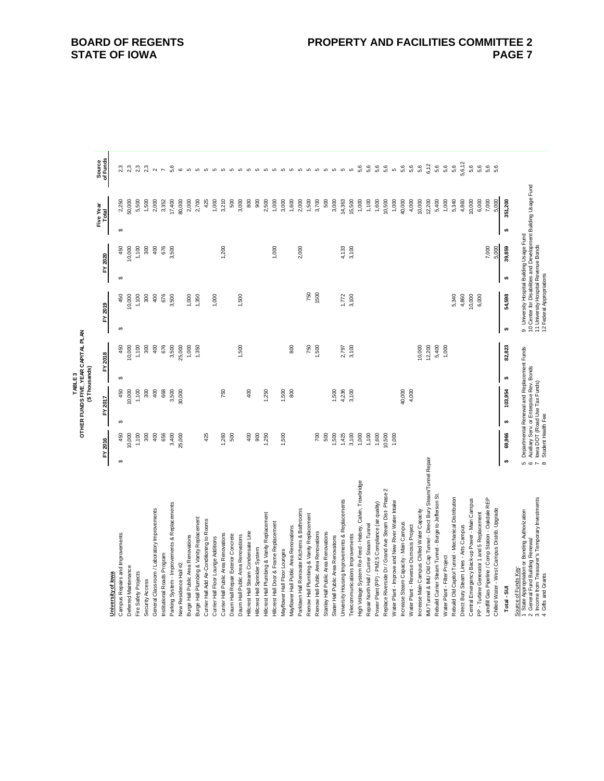|                                                                               |                |                 |    | ことにはく                                                                     |    | OTHER FUNDS FIVE_YEAR CAPITAL PLAN |          |                                           |    |         |                    |                                                                |                          |  |
|-------------------------------------------------------------------------------|----------------|-----------------|----|---------------------------------------------------------------------------|----|------------------------------------|----------|-------------------------------------------|----|---------|--------------------|----------------------------------------------------------------|--------------------------|--|
|                                                                               |                | FY 2016         |    | (\$Thousands)<br>FY 2017                                                  |    | FY 2018                            |          | FY 2019                                   |    | FY 2020 | Five Year<br>Total |                                                                | Source<br>of Funds       |  |
| University of lowa                                                            |                |                 |    |                                                                           |    |                                    |          |                                           |    |         |                    |                                                                |                          |  |
| Campus Repairs and Improvements                                               | မာ             | 450             | 69 | 450                                                                       | မာ | 450                                | မာ       | 450                                       | ↮  | 450     | 6                  | 2,250                                                          | 2,3                      |  |
| Deferred Maintenance                                                          |                | 10,000          |    | 10,000                                                                    |    | 10,000                             |          | 10,000                                    |    | 10,000  |                    | 50,000                                                         | 2,3                      |  |
| Fire Safety Projects                                                          |                | 1,100           |    | 1,100                                                                     |    | 1,100                              |          | 1,100                                     |    | 1,100   |                    | 5,500                                                          | 2,3                      |  |
| Security Access                                                               |                | 300             |    | 300                                                                       |    | 300                                |          | 300                                       |    | 300     |                    | 1,500                                                          | 2,3                      |  |
| General Classroom / Laboratory Improvements                                   |                | 400             |    | 400                                                                       |    | $\frac{6}{3}$                      |          | 400                                       |    | 400     |                    | 2,000                                                          | $\scriptstyle\sim$       |  |
| Institutional Roads Program                                                   |                | 656             |    | 668                                                                       |    | 676                                |          | 676                                       |    | 676     |                    | 3,352                                                          | $\overline{\phantom{a}}$ |  |
| Parking System - Improvements & Replacements                                  |                | 3,400           |    | 3,500                                                                     |    | 3,500                              |          | 3,500                                     |    | 3,500   |                    | 17,400                                                         | 5,6                      |  |
| New Residence Hall #2                                                         |                | 25,000          |    | 30,000                                                                    |    | 25,000                             |          |                                           |    |         |                    | 80,000                                                         | $\circ$                  |  |
| Burge Hall Public Area Renovations                                            |                |                 |    |                                                                           |    | 1,000                              |          | 1,000                                     |    |         |                    | 2,000                                                          |                          |  |
| Burge Hall Plumbing & Vanity Replacement                                      |                |                 |    |                                                                           |    | 1,350                              |          | 1,350                                     |    |         |                    | 2,700                                                          |                          |  |
| Currier Hall Add Air-Conditioning to Rooms                                    |                | 425             |    |                                                                           |    |                                    |          |                                           |    |         |                    | 425                                                            |                          |  |
| Currier Hall Floor Lounge Additions                                           |                |                 |    |                                                                           |    |                                    |          | 1,000                                     |    |         |                    | 1,000                                                          |                          |  |
| Currier Hall Public Area Renovations                                          |                | 1,260           |    | 750                                                                       |    |                                    |          |                                           |    | 1,200   |                    | 3,210                                                          |                          |  |
| Daum Hall Repair Exterior Concrete                                            |                | 500             |    |                                                                           |    |                                    |          |                                           |    |         |                    | 500                                                            |                          |  |
| Daum Hall Public Area Renovations                                             |                |                 |    |                                                                           |    | 1,500                              |          | 1,500                                     |    |         |                    | 3,000                                                          |                          |  |
| Hilcrest Hall Steam Condensate Line                                           |                | 400             |    | 400                                                                       |    |                                    |          |                                           |    |         |                    | 800                                                            |                          |  |
| Hillcrest Hall Sprinkler System                                               |                | 800             |    |                                                                           |    |                                    |          |                                           |    |         |                    | 800                                                            |                          |  |
| Hillcrest Hall Plumbing & Vanity Replacement                                  |                | ,250            |    | 1,250                                                                     |    |                                    |          |                                           |    |         |                    | 2,500                                                          |                          |  |
| Hilcrest Hall Door & Frame Replacement                                        |                |                 |    |                                                                           |    |                                    |          |                                           |    | 1,000   |                    | 1,000                                                          |                          |  |
| Mayflower Hall Floor Lounges                                                  |                | 1,500           |    | 1,500                                                                     |    |                                    |          |                                           |    |         |                    | 3,000                                                          |                          |  |
| Mayflower Hall Public Area Renovations                                        |                |                 |    | 800                                                                       |    | 800                                |          |                                           |    |         |                    | 1,600                                                          |                          |  |
| Parklawn Hall Renovate Kitchens & Bathrooms                                   |                |                 |    |                                                                           |    |                                    |          |                                           |    | 2,000   |                    | 2,000                                                          |                          |  |
| Rienow Hall Plumbing & Vanity Replacement                                     |                |                 |    |                                                                           |    | 750                                |          | 750                                       |    |         |                    | 1,500                                                          |                          |  |
| Rienow Hall Public Area Renovations                                           |                | 80              |    |                                                                           |    | 1,500                              |          | 1500                                      |    |         |                    | 3,700                                                          |                          |  |
| Stanley Hall Public Area Renovations                                          |                | 500             |    |                                                                           |    |                                    |          |                                           |    |         |                    | 500                                                            |                          |  |
| Slater Hall Public Area Renovations                                           |                | 1,500           |    | 1,500                                                                     |    |                                    |          |                                           |    |         |                    | 3,000                                                          |                          |  |
| University Housing Improvements & Replacements                                |                | 1,425           |    | 4,236                                                                     |    | 2,797                              |          | 1,772                                     |    | 4,133   |                    | 14,363                                                         |                          |  |
| Telecommunications Improvements                                               |                | 3,100           |    | 3,100                                                                     |    | 3,100                              |          | 3,100                                     |    | 3,100   |                    | 15,500                                                         |                          |  |
| High Voltage System Re-Feed - Halsey, Calvin, Trowbridge                      |                | 1,000           |    |                                                                           |    |                                    |          |                                           |    |         |                    | 1,000                                                          | 5,6                      |  |
| Repair North Hall / Currier Steam Tunnel                                      |                | 1,100           |    |                                                                           |    |                                    |          |                                           |    |         |                    | 1,100                                                          | 5,6                      |  |
| Power Plant (PP) - PM2.5 Compliance (air quality)                             |                | 1,600           |    |                                                                           |    |                                    |          |                                           |    |         |                    | 1,600                                                          | 5,6                      |  |
| Replace Riverside Dr / Grand Ave Steam Dist- Phase 2                          |                | 10,500          |    |                                                                           |    |                                    |          |                                           |    |         |                    | 10,500                                                         | 5,6                      |  |
| Water Plant - Improve and New River Water Intake                              |                | 1,000           |    |                                                                           |    |                                    |          |                                           |    |         |                    | 1,000                                                          | ю                        |  |
| Increase Steam Capacity - Main Campus                                         |                |                 |    | 40,000                                                                    |    |                                    |          |                                           |    |         |                    | 40,000                                                         | 5,6                      |  |
| Water Plant - Reverse Osmosis Project                                         |                |                 |    | 4,000                                                                     |    |                                    |          |                                           |    |         |                    | 4,000                                                          | 5,6                      |  |
| Increase Main Campus Chilled Water Capacity                                   |                |                 |    |                                                                           |    | 10,000                             |          |                                           |    |         |                    | 10,000                                                         | 5,6                      |  |
| IMU Tunnel & IMU Old Cap Tunnel - Direct Bury Steam/Tunnel Repair             |                |                 |    |                                                                           |    | 12,200                             |          |                                           |    |         |                    | 12,200                                                         | 6,12                     |  |
| Rebuild Currier Steam Tunnel - Burge to Jefferson St                          |                |                 |    |                                                                           |    | 5,400                              |          |                                           |    |         |                    | 5,400                                                          | 5,6                      |  |
| Water Plant - Filter Project                                                  |                |                 |    |                                                                           |    | 1,000                              |          |                                           |    |         |                    | 1,000                                                          | 5,6                      |  |
| Rebuild Old Capitol Tunnel - Mechanical Distribution                          |                |                 |    |                                                                           |    |                                    |          | 5,340                                     |    |         |                    | 5,340                                                          | 5,6                      |  |
| Direct Bury Steam Lines - Arts Campus                                         |                |                 |    |                                                                           |    |                                    |          | 4,860                                     |    |         |                    | 4,860                                                          | 5,6,12                   |  |
| Central Emergency Back-up Power - Main Campus                                 |                |                 |    |                                                                           |    |                                    |          | 10,000                                    |    |         |                    | 10,000                                                         | 5,6                      |  |
| PP - Turbine Generator 1 and 5 Replacement                                    |                |                 |    |                                                                           |    |                                    |          | 6,000                                     |    |         |                    | 6,000                                                          | 5,6                      |  |
| Landfill Gas Pipeline / Comp Station - Oakdale REP                            |                |                 |    |                                                                           |    |                                    |          |                                           |    | 7,000   |                    | 7,000                                                          | 5,6                      |  |
| Chilled Water - West Campus Distrib. Upgrade                                  |                |                 |    |                                                                           |    |                                    |          |                                           |    | 5,000   |                    | 5,000                                                          | 5,6                      |  |
| Total - SUI                                                                   | s,             | 69,966          | s, | 103,954                                                                   | s, | 82,823                             | <b>u</b> | 54,598                                    | s, | 39,859  | <b>u</b>           | 351,200                                                        |                          |  |
| Source of Funds Key:                                                          |                |                 |    |                                                                           |    |                                    |          |                                           |    |         |                    |                                                                |                          |  |
| State Appropriation or Bonding Authorization<br>General Fund Building Renewal | 5              |                 |    | Departmental Renewal and Replacement Funds                                |    |                                    |          | 9 University Hospital Building Usage Fund |    |         |                    | 10 Center for Disabilities and Development Building Usage Fund |                          |  |
| 3 Income from Treasurer's Temporary Investments                               | $\circ$ $\sim$ |                 |    | Auxiliary Serv. or Enterprise Rev. Bonds<br>Iowa DOT (Road Use Tax Funds) |    |                                    |          | 11 University Hospital Revenue Bonds      |    |         |                    |                                                                |                          |  |
| Gits and Grants                                                               | $\propto$      | Student Heath F |    |                                                                           |    |                                    |          | 12 Federal Appropriation                  |    |         |                    |                                                                |                          |  |

**TABLE 3**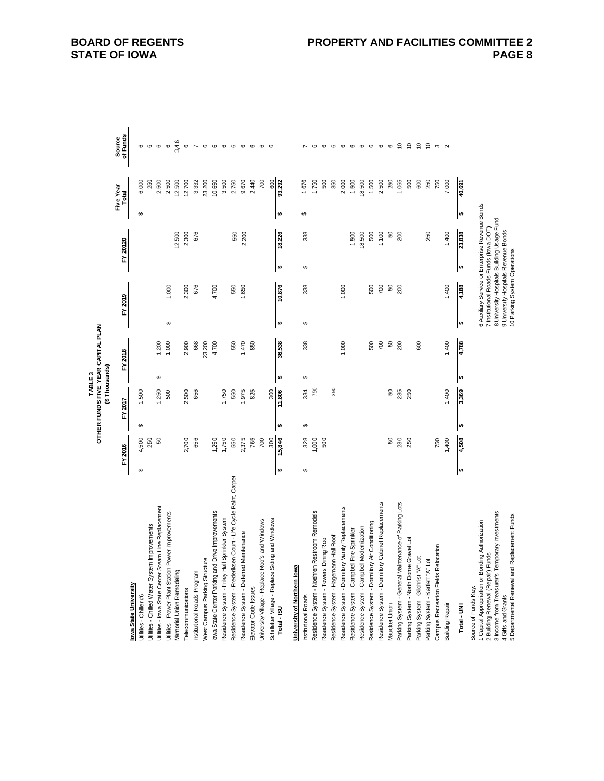|                                                                                           |    |         |   |               | TABLE <sub>3</sub> | OTHER FUNDS FIVE_YEAR CAPITAL PLAN |                        |                                                                                      |           |          |                        |                    |                                                               |  |
|-------------------------------------------------------------------------------------------|----|---------|---|---------------|--------------------|------------------------------------|------------------------|--------------------------------------------------------------------------------------|-----------|----------|------------------------|--------------------|---------------------------------------------------------------|--|
|                                                                                           |    |         |   | (\$Thousands) |                    |                                    |                        |                                                                                      |           |          |                        |                    |                                                               |  |
|                                                                                           |    | FY 2016 |   | FY 2017       |                    | FY 2018                            |                        | FY 2019                                                                              |           | FY 20120 | Five Year<br>Total     |                    | of Funds<br>Source                                            |  |
| lowa State University                                                                     |    |         |   |               |                    |                                    |                        |                                                                                      |           |          |                        |                    |                                                               |  |
| Utilities - Chiller #6                                                                    | ↮  | 4,500   | ↮ | 1,500         |                    |                                    |                        |                                                                                      |           |          | ↮                      | 6,000              | ဖ                                                             |  |
| Utilities - Chilled Water System Improvements                                             |    | 250     |   |               |                    |                                    |                        |                                                                                      |           |          |                        | 250                | $\circ$                                                       |  |
| Utilities - Iowa State Center Steam Line Replacement                                      |    | 8       |   | 1,250         | ↔                  | 1,200                              |                        |                                                                                      |           |          |                        | 2,500              | $\circ$                                                       |  |
| Power Improvements<br>Utilities - Power Plant Station                                     |    |         |   | 500           |                    | 1,000                              | ↔                      | 1,000                                                                                |           |          |                        | 2,500              | $\mathbf  \, \mathbf  \, \mathbf  \, \mathbf  \, \mathbf  \,$ |  |
| Memorial Union Remodeling                                                                 |    |         |   |               |                    |                                    |                        |                                                                                      |           | 12,500   |                        | 12,500             | 3,4,6                                                         |  |
| Telecommunications                                                                        |    | 2,700   |   | 2,500         |                    | 2,900                              |                        | 2,300                                                                                |           | 2,300    |                        | 12,700             | $\circ$                                                       |  |
| Institutional Roads Program                                                               |    | 656     |   | 656           |                    | 668                                |                        | 676                                                                                  |           | 676      |                        | 3,332              | $\overline{ }$                                                |  |
| West Campus Parking Structure                                                             |    |         |   |               |                    | 23,200                             |                        |                                                                                      |           |          |                        | 23,200             | $\circ$                                                       |  |
| lowa State Center Parking and Drive Improvements                                          |    | 1,250   |   |               |                    | 4,700                              |                        | 4,700                                                                                |           |          |                        | 10,650             | $\circ$                                                       |  |
| Residence System - Friley Hall Sprinkler System                                           |    | 1,750   |   | 1,750         |                    |                                    |                        |                                                                                      |           |          |                        | 3,500              | $\mathbf \circ$                                               |  |
| Residence System - Frederiksen Court - Life Cycle Paint, Carpet                           |    | 550     |   | 550           |                    | 550                                |                        | 550                                                                                  |           | 550      |                        | 2,750              | $\circ$                                                       |  |
| Maintenance<br>Residence System - Deferred                                                |    | 2,375   |   | ,975          |                    | 1,470                              |                        | 1,650                                                                                |           | 2,200    |                        | 9,670              | $\mathbf \circ$                                               |  |
| Elevator Code Issues                                                                      |    | 765     |   | 825           |                    | 850                                |                        |                                                                                      |           |          |                        | 2,440              | $\circ$                                                       |  |
| University Village - Replace Roofs and Windows                                            |    | 700     |   |               |                    |                                    |                        |                                                                                      |           |          |                        | 700                | $\circ$                                                       |  |
|                                                                                           |    | 300     |   | 300           |                    |                                    |                        |                                                                                      |           |          |                        |                    | C                                                             |  |
| Schilletter Village - Replace Siding and Windows<br>Total - ISU                           | ∣⇔ | 15,846  | ₩ | 11,806        | $\bullet$          | 36,538                             | $\boldsymbol{\varphi}$ | 10,876                                                                               | $\bullet$ | 18,226   | $\boldsymbol{\varphi}$ | $rac{600}{93,292}$ |                                                               |  |
| <u>University of Northern lowa</u>                                                        |    |         |   |               |                    |                                    |                        |                                                                                      |           |          |                        |                    |                                                               |  |
| Institutional Roads                                                                       | ↮  | 328     | ↮ | 334           | $\leftrightarrow$  | 338                                | $\Theta$               | 338                                                                                  | $\Theta$  | 338      | ↔                      | 1,676              |                                                               |  |
| Restroom Remodels<br>Residence System - Noehren                                           |    | ,000    |   | 750           |                    |                                    |                        |                                                                                      |           |          |                        | 1,750              | ဖ                                                             |  |
| Dining Roof<br>Residence System - Towers                                                  |    | 500     |   |               |                    |                                    |                        |                                                                                      |           |          |                        | 500                | $\mathbf \omega$                                              |  |
| Residence System - Hagemann Hall Roof                                                     |    |         |   | 350           |                    |                                    |                        |                                                                                      |           |          |                        | 350                | $\circ$                                                       |  |
| Residence System - Dormitory Vanity Replacements                                          |    |         |   |               |                    | 1,000                              |                        | 1,000                                                                                |           |          |                        | 2,000              | G                                                             |  |
| Residence System - Campbell Fire Sprinkler                                                |    |         |   |               |                    |                                    |                        |                                                                                      |           | 1,500    |                        | 1,500              | $\circ$                                                       |  |
| Residence System - Campbell Modernization                                                 |    |         |   |               |                    |                                    |                        |                                                                                      |           | 18,500   |                        | 18,500             | $\circ$                                                       |  |
| Residence System - Dormitory Air Conditioning                                             |    |         |   |               |                    | 500                                |                        | 500                                                                                  |           | 500      |                        | 1,500              | $\circ$                                                       |  |
| Residence System - Dormitory Cabinet Replacements                                         |    |         |   |               |                    | 700                                |                        | 700                                                                                  |           | 1,100    |                        | 2,500              | ဖ                                                             |  |
| Maucker Union                                                                             |    | 8       |   | 8             |                    | SO                                 |                        | S                                                                                    |           | S        |                        | 250                | $\mathbf \circ$                                               |  |
| Parking System - General Maintenance of Parking Lots                                      |    | 230     |   | 235           |                    | 200                                |                        | 200                                                                                  |           | 200      |                        | 1,065              | $\tilde{c}$                                                   |  |
| Parking System - North Dome Gravel Lot                                                    |    | 250     |   | 250           |                    |                                    |                        |                                                                                      |           |          |                        | 500                | $\epsilon$                                                    |  |
| $\overline{5}$<br>Parking System - Gilchrist "A"                                          |    |         |   |               |                    | 600                                |                        |                                                                                      |           |          |                        | 600                | $\tilde{c}$                                                   |  |
| $\overline{5}$<br>Parking System - Bartlett "A"                                           |    |         |   |               |                    |                                    |                        |                                                                                      |           | 250      |                        | 250                | $\epsilon$                                                    |  |
| Campus Recreation Fields Relocation                                                       |    | 750     |   |               |                    |                                    |                        |                                                                                      |           |          |                        | 750                | ო                                                             |  |
| <b>Building Repair</b>                                                                    |    | 1,400   |   | 1,400         |                    | 1,400                              |                        | 1,400                                                                                |           | 1,400    |                        | 7,000              | $\sim$                                                        |  |
| Total - UNI                                                                               | ₩  | 809'r   | ₩ | 3,369         | $\bullet$          | 4,788                              | ↮                      | 4,188                                                                                | ₩         | 23,838   | $\pmb{\varphi}$        | 40,691             |                                                               |  |
| 1 Capital Appropriation or Bonding Authorization<br>Source of Funds Key:                  |    |         |   |               |                    |                                    |                        | 6 Auxiliary Service or Enterprise Revenue Bonds                                      |           |          |                        |                    |                                                               |  |
| 3 Income from Treasurer's Temporary Investments<br>chun.<br>2 Building Renewal (Repair) F |    |         |   |               |                    |                                    |                        | 8 University Hospitals Building Usage Fund<br>7 Institutional Roads Funds (lowa DOT) |           |          |                        |                    |                                                               |  |
| 4 Gifts and Grants                                                                        |    |         |   |               |                    |                                    |                        | 9 University Hospitals Revenue Bonds                                                 |           |          |                        |                    |                                                               |  |
| 5 Departmental Renewal and Replacement Funds                                              |    |         |   |               |                    |                                    |                        | 10 Parking System Operations                                                         |           |          |                        |                    |                                                               |  |

# **BOARD OF REGENTS STATE OF IOWA**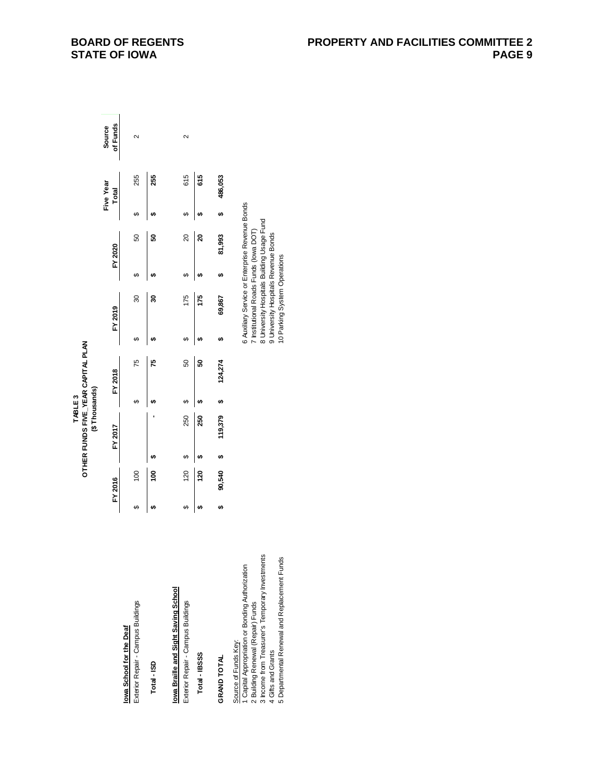|                                                                                                                                                                                                                                        |    |         |    | (\$Thousands) | TABLE <sub>3</sub> | OTHER FUNDS FIVE YEAR CAPITAL PLAN |    |                                                                                                                                                                                                                 |    |         |    |                    |                    |
|----------------------------------------------------------------------------------------------------------------------------------------------------------------------------------------------------------------------------------------|----|---------|----|---------------|--------------------|------------------------------------|----|-----------------------------------------------------------------------------------------------------------------------------------------------------------------------------------------------------------------|----|---------|----|--------------------|--------------------|
|                                                                                                                                                                                                                                        |    | FY 2016 |    | FY 2017       |                    | FY 2018                            |    | FY 2019                                                                                                                                                                                                         |    | FY 2020 |    | Five Year<br>Total | of Funds<br>Source |
| Exterior Repair - Campus Buildings<br>lowa School for the Deaf                                                                                                                                                                         | ఱ  | 100     |    |               | မာ                 | 75                                 | ↮  | 30                                                                                                                                                                                                              | မာ | 50      | မာ | 255                | $\mathbf{\Omega}$  |
| Total - ISD                                                                                                                                                                                                                            |    | Ş,      |    |               |                    | 15                                 | ŧA | ន                                                                                                                                                                                                               | မာ | ន       |    | 255                |                    |
| lowa Braille and Sight Saving School<br>Exterior Repair - Campus Buildings                                                                                                                                                             | G, | 120     | မာ | 250           | ఱ                  | 50                                 | ↮  | 175                                                                                                                                                                                                             | မာ | 20      | မာ | 615                | 2                  |
| Total-IBSSS                                                                                                                                                                                                                            | မာ | 120     |    | 250           |                    | ន                                  |    | 175                                                                                                                                                                                                             |    | ន       |    | 615                |                    |
| GRAND TOTAL                                                                                                                                                                                                                            | မာ | 90,540  | မာ | 119,379       |                    | 124,274                            | tA | 69,867                                                                                                                                                                                                          |    | 81,993  |    | 486,053            |                    |
| 3 Income from Treasurer's Temporary Investments<br>5 Departmental Renewal and Replacement Funds<br>1 Capital Appropriation or Bonding Authorization<br>2 Building Renewal (Repair) Funds<br>Source of Funds Key:<br>4 Gifts and Grants |    |         |    |               |                    |                                    |    | 6 Auxiliary Service or Enterprise Revenue Bonds<br>8 University Hospitals Building Usage Fund<br>7 Institutional Roads Funds (lowa DOT)<br>9 University Hospitals Revenue Bonds<br>10 Parking System Operations |    |         |    |                    |                    |

# **BOARD OF REGENTS STATE OF IOWA**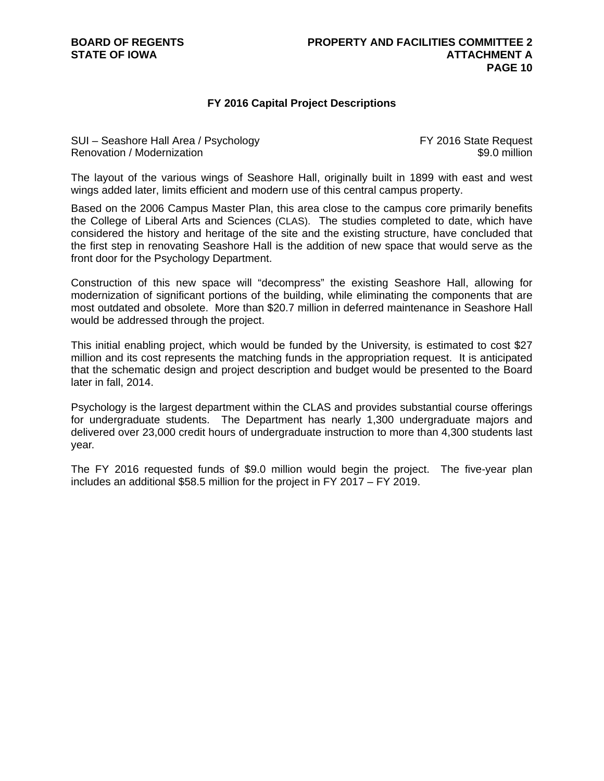# **FY 2016 Capital Project Descriptions**

SUI – Seashore Hall Area / Psychology **FY 2016** State Request Renovation / Modernization **\$9.0 million** 

The layout of the various wings of Seashore Hall, originally built in 1899 with east and west wings added later, limits efficient and modern use of this central campus property.

Based on the 2006 Campus Master Plan, this area close to the campus core primarily benefits the College of Liberal Arts and Sciences (CLAS). The studies completed to date, which have considered the history and heritage of the site and the existing structure, have concluded that the first step in renovating Seashore Hall is the addition of new space that would serve as the front door for the Psychology Department.

Construction of this new space will "decompress" the existing Seashore Hall, allowing for modernization of significant portions of the building, while eliminating the components that are most outdated and obsolete. More than \$20.7 million in deferred maintenance in Seashore Hall would be addressed through the project.

This initial enabling project, which would be funded by the University, is estimated to cost \$27 million and its cost represents the matching funds in the appropriation request. It is anticipated that the schematic design and project description and budget would be presented to the Board later in fall, 2014.

Psychology is the largest department within the CLAS and provides substantial course offerings for undergraduate students. The Department has nearly 1,300 undergraduate majors and delivered over 23,000 credit hours of undergraduate instruction to more than 4,300 students last year.

The FY 2016 requested funds of \$9.0 million would begin the project. The five-year plan includes an additional \$58.5 million for the project in FY 2017 – FY 2019.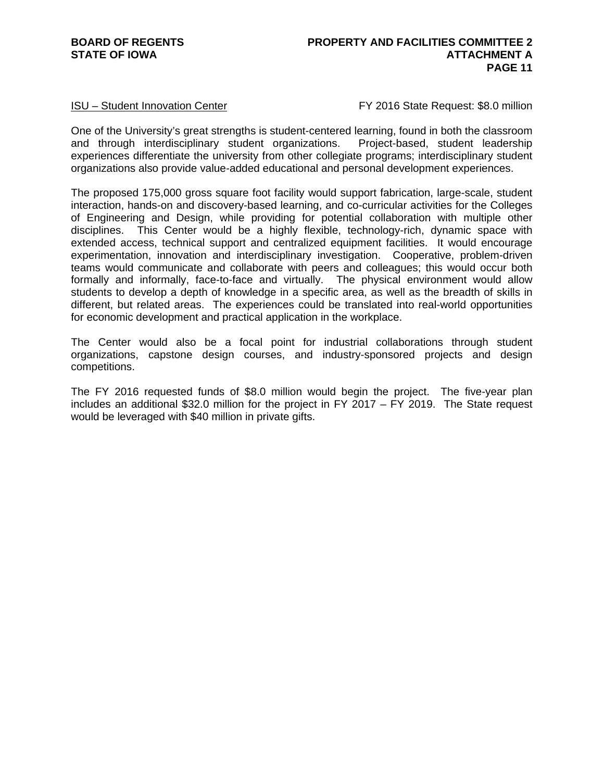ISU – Student Innovation Center FY 2016 State Request: \$8.0 million

One of the University's great strengths is student-centered learning, found in both the classroom and through interdisciplinary student organizations. Project-based, student leadership experiences differentiate the university from other collegiate programs; interdisciplinary student organizations also provide value-added educational and personal development experiences.

The proposed 175,000 gross square foot facility would support fabrication, large-scale, student interaction, hands-on and discovery-based learning, and co-curricular activities for the Colleges of Engineering and Design, while providing for potential collaboration with multiple other disciplines. This Center would be a highly flexible, technology-rich, dynamic space with extended access, technical support and centralized equipment facilities. It would encourage experimentation, innovation and interdisciplinary investigation. Cooperative, problem-driven teams would communicate and collaborate with peers and colleagues; this would occur both formally and informally, face-to-face and virtually. The physical environment would allow students to develop a depth of knowledge in a specific area, as well as the breadth of skills in different, but related areas. The experiences could be translated into real-world opportunities for economic development and practical application in the workplace.

The Center would also be a focal point for industrial collaborations through student organizations, capstone design courses, and industry-sponsored projects and design competitions.

The FY 2016 requested funds of \$8.0 million would begin the project. The five-year plan includes an additional \$32.0 million for the project in FY 2017 – FY 2019. The State request would be leveraged with \$40 million in private gifts.